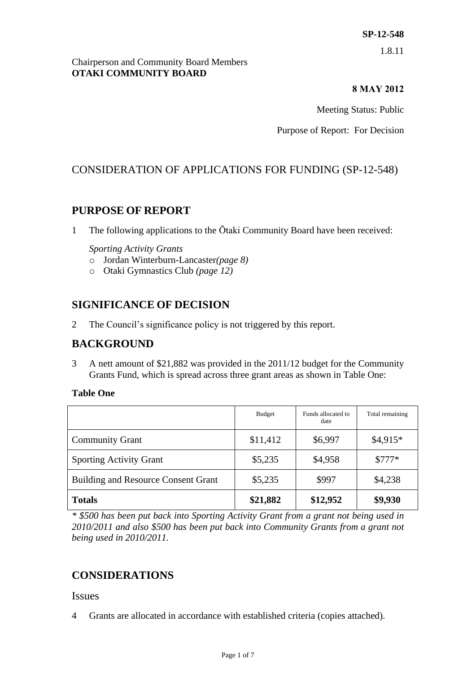Chairperson and Community Board Members **OTAKI COMMUNITY BOARD**

#### **8 MAY 2012**

Meeting Status: Public

Purpose of Report: For Decision

## CONSIDERATION OF APPLICATIONS FOR FUNDING (SP-12-548)

## **PURPOSE OF REPORT**

1 The following applications to the Ōtaki Community Board have been received:

#### *Sporting Activity Grants*

- o Jordan Winterburn-Lancaster*(page 8)*
- o Otaki Gymnastics Club *(page 12)*

## **SIGNIFICANCE OF DECISION**

2 The Council's significance policy is not triggered by this report.

## **BACKGROUND**

3 A nett amount of \$21,882 was provided in the 2011/12 budget for the Community Grants Fund, which is spread across three grant areas as shown in Table One:

#### **Table One**

|                                            | Budget   | Funds allocated to<br>date | Total remaining |
|--------------------------------------------|----------|----------------------------|-----------------|
| <b>Community Grant</b>                     | \$11,412 | \$6,997                    | $$4,915*$       |
| <b>Sporting Activity Grant</b>             | \$5,235  | \$4,958                    | $$777*$         |
| <b>Building and Resource Consent Grant</b> | \$5,235  | \$997                      | \$4,238         |
| <b>Totals</b>                              | \$21,882 | \$12,952                   | \$9,930         |

*\* \$500 has been put back into Sporting Activity Grant from a grant not being used in 2010/2011 and also \$500 has been put back into Community Grants from a grant not being used in 2010/2011.*

## **CONSIDERATIONS**

#### Issues

4 Grants are allocated in accordance with established criteria (copies attached).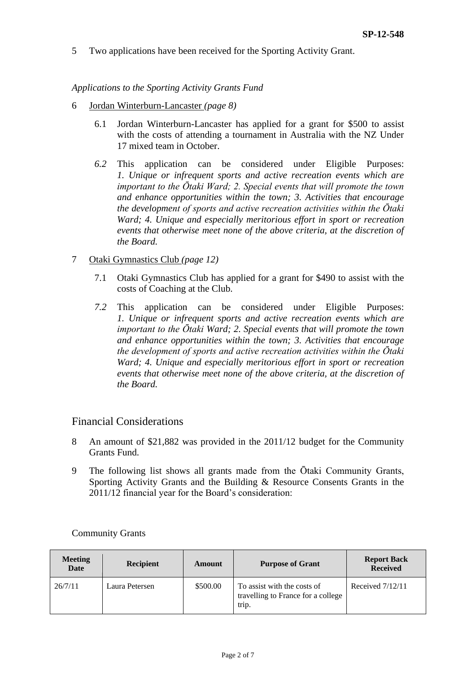5 Two applications have been received for the Sporting Activity Grant.

*Applications to the Sporting Activity Grants Fund*

- 6 Jordan Winterburn-Lancaster *(page 8)*
	- 6.1 Jordan Winterburn-Lancaster has applied for a grant for \$500 to assist with the costs of attending a tournament in Australia with the NZ Under 17 mixed team in October.
	- *6.2* This application can be considered under Eligible Purposes: *1. Unique or infrequent sports and active recreation events which are important to the Ōtaki Ward; 2. Special events that will promote the town and enhance opportunities within the town; 3. Activities that encourage the development of sports and active recreation activities within the Ōtaki Ward; 4. Unique and especially meritorious effort in sport or recreation events that otherwise meet none of the above criteria, at the discretion of the Board.*
- 7 Otaki Gymnastics Club *(page 12)*
	- 7.1 Otaki Gymnastics Club has applied for a grant for \$490 to assist with the costs of Coaching at the Club.
	- *7.2* This application can be considered under Eligible Purposes: *1. Unique or infrequent sports and active recreation events which are important to the Ōtaki Ward; 2. Special events that will promote the town and enhance opportunities within the town; 3. Activities that encourage the development of sports and active recreation activities within the Ōtaki Ward; 4. Unique and especially meritorious effort in sport or recreation events that otherwise meet none of the above criteria, at the discretion of the Board.*

#### Financial Considerations

- 8 An amount of \$21,882 was provided in the 2011/12 budget for the Community Grants Fund.
- 9 The following list shows all grants made from the Ōtaki Community Grants, Sporting Activity Grants and the Building & Resource Consents Grants in the 2011/12 financial year for the Board's consideration:

| <b>Meeting</b><br><b>Date</b> | <b>Recipient</b> | Amount   | <b>Purpose of Grant</b>                                                    | <b>Report Back</b><br><b>Received</b> |
|-------------------------------|------------------|----------|----------------------------------------------------------------------------|---------------------------------------|
| 26/7/11                       | Laura Petersen   | \$500.00 | To assist with the costs of<br>travelling to France for a college<br>trip. | Received $7/12/11$                    |

#### Community Grants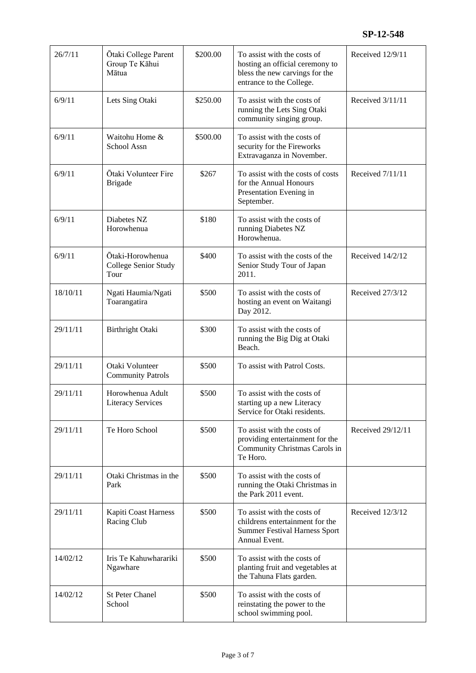| 26/7/11  | Ōtaki College Parent<br>Group Te Kāhui<br>Mātua  | \$200.00 | To assist with the costs of<br>hosting an official ceremony to<br>bless the new carvings for the<br>entrance to the College. | Received 12/9/11  |
|----------|--------------------------------------------------|----------|------------------------------------------------------------------------------------------------------------------------------|-------------------|
| 6/9/11   | Lets Sing Otaki                                  | \$250.00 | To assist with the costs of<br>running the Lets Sing Otaki<br>community singing group.                                       | Received 3/11/11  |
| 6/9/11   | Waitohu Home &<br>School Assn                    | \$500.00 | To assist with the costs of<br>security for the Fireworks<br>Extravaganza in November.                                       |                   |
| 6/9/11   | Ōtaki Volunteer Fire<br><b>Brigade</b>           | \$267    | To assist with the costs of costs<br>for the Annual Honours<br>Presentation Evening in<br>September.                         | Received 7/11/11  |
| 6/9/11   | Diabetes NZ<br>Horowhenua                        | \$180    | To assist with the costs of<br>running Diabetes NZ<br>Horowhenua.                                                            |                   |
| 6/9/11   | Ōtaki-Horowhenua<br>College Senior Study<br>Tour | \$400    | To assist with the costs of the<br>Senior Study Tour of Japan<br>2011.                                                       | Received 14/2/12  |
| 18/10/11 | Ngati Haumia/Ngati<br>Toarangatira               | \$500    | To assist with the costs of<br>hosting an event on Waitangi<br>Day 2012.                                                     | Received 27/3/12  |
| 29/11/11 | Birthright Otaki                                 | \$300    | To assist with the costs of<br>running the Big Dig at Otaki<br>Beach.                                                        |                   |
| 29/11/11 | Otaki Volunteer<br><b>Community Patrols</b>      | \$500    | To assist with Patrol Costs.                                                                                                 |                   |
| 29/11/11 | Horowhenua Adult<br><b>Literacy Services</b>     | \$500    | To assist with the costs of<br>starting up a new Literacy<br>Service for Otaki residents.                                    |                   |
| 29/11/11 | Te Horo School                                   | \$500    | To assist with the costs of<br>providing entertainment for the<br>Community Christmas Carols in<br>Te Horo.                  | Received 29/12/11 |
| 29/11/11 | Otaki Christmas in the<br>Park                   | \$500    | To assist with the costs of<br>running the Otaki Christmas in<br>the Park 2011 event.                                        |                   |
| 29/11/11 | Kapiti Coast Harness<br>Racing Club              | \$500    | To assist with the costs of<br>childrens entertainment for the<br><b>Summer Festival Harness Sport</b><br>Annual Event.      | Received 12/3/12  |
| 14/02/12 | Iris Te Kahuwharariki<br>Ngawhare                | \$500    | To assist with the costs of<br>planting fruit and vegetables at<br>the Tahuna Flats garden.                                  |                   |
| 14/02/12 | <b>St Peter Chanel</b><br>School                 | \$500    | To assist with the costs of<br>reinstating the power to the<br>school swimming pool.                                         |                   |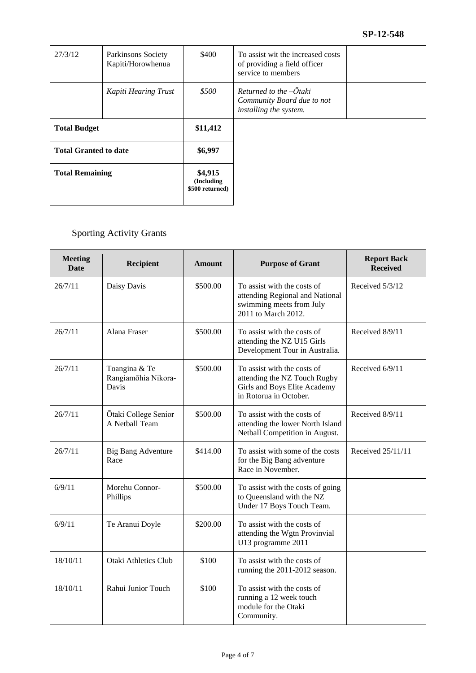| 27/3/12                      | Parkinsons Society<br>Kapiti/Horowhenua | \$400                                    | To assist wit the increased costs<br>of providing a field officer<br>service to members      |  |
|------------------------------|-----------------------------------------|------------------------------------------|----------------------------------------------------------------------------------------------|--|
|                              | Kapiti Hearing Trust                    | \$500                                    | Returned to the $-\overline{O}$ taki<br>Community Board due to not<br>installing the system. |  |
| <b>Total Budget</b>          |                                         | \$11,412                                 |                                                                                              |  |
| <b>Total Granted to date</b> |                                         | \$6,997                                  |                                                                                              |  |
| <b>Total Remaining</b>       |                                         | \$4,915<br>(Including<br>\$500 returned) |                                                                                              |  |

## Sporting Activity Grants

| <b>Meeting</b><br><b>Date</b> | Recipient                                     | <b>Amount</b> | <b>Purpose of Grant</b>                                                                                               | <b>Report Back</b><br><b>Received</b> |
|-------------------------------|-----------------------------------------------|---------------|-----------------------------------------------------------------------------------------------------------------------|---------------------------------------|
| 26/7/11                       | Daisy Davis                                   | \$500.00      | To assist with the costs of<br>attending Regional and National<br>swimming meets from July<br>2011 to March 2012.     | Received 5/3/12                       |
| 26/7/11                       | Alana Fraser                                  | \$500.00      | To assist with the costs of<br>attending the NZ U15 Girls<br>Development Tour in Australia.                           | Received 8/9/11                       |
| 26/7/11                       | Toangina & Te<br>Rangiamōhia Nikora-<br>Davis | \$500.00      | To assist with the costs of<br>attending the NZ Touch Rugby<br>Girls and Boys Elite Academy<br>in Rotorua in October. | Received 6/9/11                       |
| 26/7/11                       | Ōtaki College Senior<br>A Netball Team        | \$500.00      | To assist with the costs of<br>attending the lower North Island<br>Netball Competition in August.                     | Received 8/9/11                       |
| 26/7/11                       | <b>Big Bang Adventure</b><br>Race             | \$414.00      | To assist with some of the costs<br>for the Big Bang adventure<br>Race in November.                                   | Received 25/11/11                     |
| 6/9/11                        | Morehu Connor-<br>Phillips                    | \$500.00      | To assist with the costs of going<br>to Queensland with the NZ<br>Under 17 Boys Touch Team.                           |                                       |
| 6/9/11                        | Te Aranui Doyle                               | \$200.00      | To assist with the costs of<br>attending the Wgtn Provinvial<br>U13 programme 2011                                    |                                       |
| 18/10/11                      | <b>Otaki Athletics Club</b>                   | \$100         | To assist with the costs of<br>running the 2011-2012 season.                                                          |                                       |
| 18/10/11                      | Rahui Junior Touch                            | \$100         | To assist with the costs of<br>running a 12 week touch<br>module for the Otaki<br>Community.                          |                                       |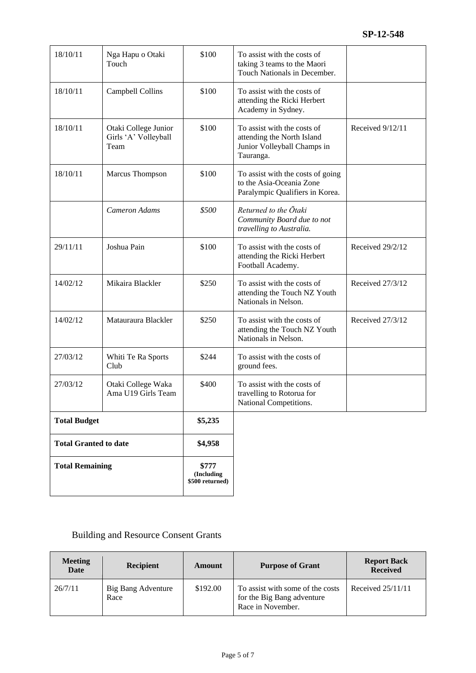| <b>Total Remaining</b>       |                                                      | \$777<br>(Including<br>\$500 returned) |                                                                                                       |                  |
|------------------------------|------------------------------------------------------|----------------------------------------|-------------------------------------------------------------------------------------------------------|------------------|
| <b>Total Granted to date</b> |                                                      | \$4,958                                |                                                                                                       |                  |
| <b>Total Budget</b>          |                                                      | \$5,235                                |                                                                                                       |                  |
| 27/03/12                     | Otaki College Waka<br>Ama U19 Girls Team             | \$400                                  | To assist with the costs of<br>travelling to Rotorua for<br>National Competitions.                    |                  |
| 27/03/12                     | Whiti Te Ra Sports<br>Club                           | \$244                                  | To assist with the costs of<br>ground fees.                                                           |                  |
| 14/02/12                     | Matauraura Blackler                                  | \$250                                  | To assist with the costs of<br>attending the Touch NZ Youth<br>Nationals in Nelson.                   | Received 27/3/12 |
| 14/02/12                     | Mikaira Blackler                                     | \$250                                  | To assist with the costs of<br>attending the Touch NZ Youth<br>Nationals in Nelson.                   | Received 27/3/12 |
| 29/11/11                     | Joshua Pain                                          | \$100                                  | To assist with the costs of<br>attending the Ricki Herbert<br>Football Academy.                       | Received 29/2/12 |
|                              | Cameron Adams                                        | \$500                                  | Returned to the Ōtaki<br>Community Board due to not<br>travelling to Australia.                       |                  |
| 18/10/11                     | Marcus Thompson                                      | \$100                                  | To assist with the costs of going<br>to the Asia-Oceania Zone<br>Paralympic Qualifiers in Korea.      |                  |
| 18/10/11                     | Otaki College Junior<br>Girls 'A' Volleyball<br>Team | \$100                                  | To assist with the costs of<br>attending the North Island<br>Junior Volleyball Champs in<br>Tauranga. | Received 9/12/11 |
| 18/10/11                     | Campbell Collins                                     | \$100                                  | To assist with the costs of<br>attending the Ricki Herbert<br>Academy in Sydney.                      |                  |
| 18/10/11                     | Nga Hapu o Otaki<br>Touch                            | \$100                                  | To assist with the costs of<br>taking 3 teams to the Maori<br>Touch Nationals in December.            |                  |

# Building and Resource Consent Grants

| <b>Meeting</b><br><b>Date</b> | <b>Recipient</b>           | Amount   | <b>Purpose of Grant</b>                                                             | <b>Report Back</b><br><b>Received</b> |
|-------------------------------|----------------------------|----------|-------------------------------------------------------------------------------------|---------------------------------------|
| 26/7/11                       | Big Bang Adventure<br>Race | \$192.00 | To assist with some of the costs<br>for the Big Bang adventure<br>Race in November. | Received $25/11/11$                   |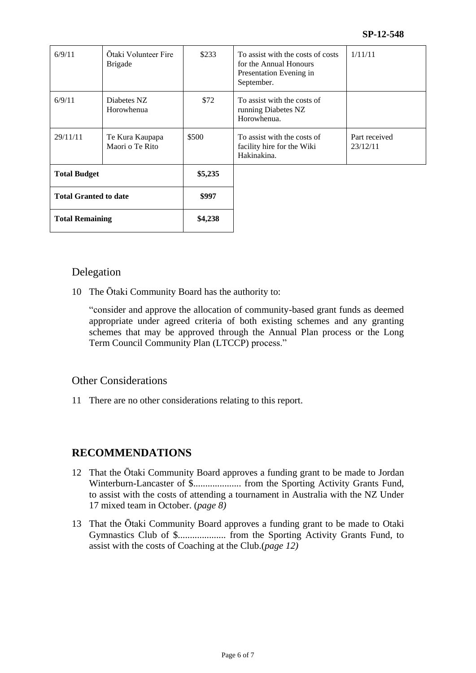| 6/9/11                       | Otaki Volunteer Fire<br><b>Brigade</b> | \$233   | To assist with the costs of costs<br>for the Annual Honours<br>Presentation Evening in<br>September. | 1/11/11                   |
|------------------------------|----------------------------------------|---------|------------------------------------------------------------------------------------------------------|---------------------------|
| 6/9/11                       | Diabetes NZ<br>Horowhenua              | \$72    | To assist with the costs of<br>running Diabetes NZ<br>Horowhenua.                                    |                           |
| 29/11/11                     | Te Kura Kaupapa<br>Maori o Te Rito     | \$500   | To assist with the costs of<br>facility hire for the Wiki<br>Hakinakina.                             | Part received<br>23/12/11 |
| <b>Total Budget</b>          |                                        | \$5,235 |                                                                                                      |                           |
| <b>Total Granted to date</b> |                                        | \$997   |                                                                                                      |                           |
| <b>Total Remaining</b>       |                                        | \$4,238 |                                                                                                      |                           |

### Delegation

10 The Ōtaki Community Board has the authority to:

"consider and approve the allocation of community-based grant funds as deemed appropriate under agreed criteria of both existing schemes and any granting schemes that may be approved through the Annual Plan process or the Long Term Council Community Plan (LTCCP) process."

### Other Considerations

11 There are no other considerations relating to this report.

## **RECOMMENDATIONS**

- 12 That the Ōtaki Community Board approves a funding grant to be made to Jordan Winterburn-Lancaster of \$.................... from the Sporting Activity Grants Fund, to assist with the costs of attending a tournament in Australia with the NZ Under 17 mixed team in October. (*page 8)*
- 13 That the Ōtaki Community Board approves a funding grant to be made to Otaki Gymnastics Club of \$.................... from the Sporting Activity Grants Fund, to assist with the costs of Coaching at the Club.(*page 12)*